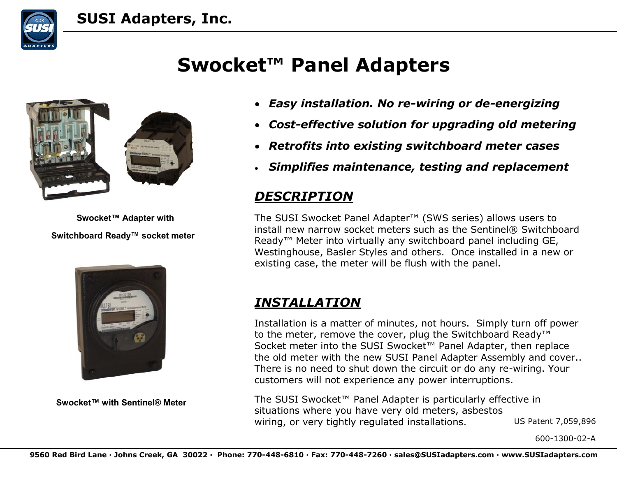

# **Swocket™ Panel Adapters**



 **Swocket™ Adapter with Switchboard Ready™ socket meter**



**Swocket™ with Sentinel® Meter** 

- *Easy installation. No re-wiring or de-energizing*
- *Cost-effective solution for upgrading old metering*
- *Retrofits into existing switchboard meter cases*
- *Simplifies maintenance, testing and replacement*

#### *DESCRIPTION*

The SUSI Swocket Panel Adapter™ (SWS series) allows users to install new narrow socket meters such as the Sentinel® Switchboard Ready™ Meter into virtually any switchboard panel including GE, Westinghouse, Basler Styles and others. Once installed in a new or existing case, the meter will be flush with the panel.

### *INSTALLATION*

Installation is a matter of minutes, not hours. Simply turn off power to the meter, remove the cover, plug the Switchboard Ready™ Socket meter into the SUSI Swocket™ Panel Adapter, then replace the old meter with the new SUSI Panel Adapter Assembly and cover.. There is no need to shut down the circuit or do any re-wiring. Your customers will not experience any power interruptions.

The SUSI Swocket™ Panel Adapter is particularly effective in situations where you have very old meters, asbestos wiring, or very tightly regulated installations. US Patent 7,059,896

600-1300-02-A